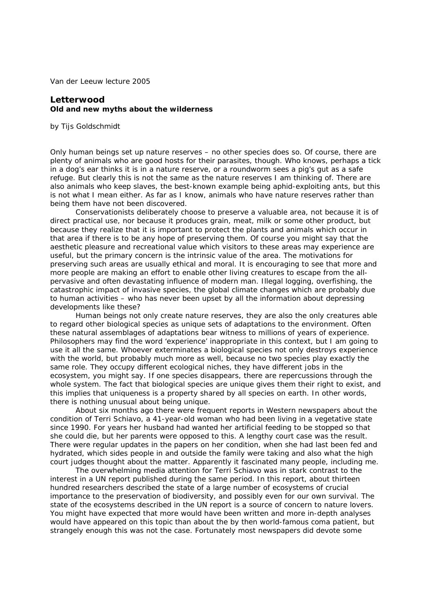Van der Leeuw lecture 2005

## **Letterwood Old and new myths about the wilderness**

by Tijs Goldschmidt

Only human beings set up nature reserves – no other species does so. Of course, there are plenty of animals who are good hosts for their parasites, though. Who knows, perhaps a tick in a dog's ear thinks it is in a nature reserve, or a roundworm sees a pig's gut as a safe refuge. But clearly this is not the same as the nature reserves I am thinking of. There are also animals who keep slaves, the best-known example being aphid-exploiting ants, but this is not what I mean either. As far as I know, animals who *have* nature reserves rather than *being* them have not been discovered.

Conservationists deliberately choose to preserve a valuable area, not because it is of direct practical use, nor because it produces grain, meat, milk or some other product, but because they realize that it is important to protect the plants and animals which occur in that area if there is to be any hope of preserving them. Of course you might say that the aesthetic pleasure and recreational value which visitors to these areas may experience are useful, but the primary concern is the intrinsic value of the area. The motivations for preserving such areas are usually ethical and moral. It is encouraging to see that more and more people are making an effort to enable other living creatures to escape from the allpervasive and often devastating influence of modern man. Illegal logging, overfishing, the catastrophic impact of invasive species, the global climate changes which are probably due to human activities – who has never been upset by all the information about depressing developments like these?

Human beings not only create nature reserves, they are also the only creatures able to regard other biological species as unique sets of adaptations to the environment. Often these natural assemblages of adaptations bear witness to millions of years of experience. Philosophers may find the word 'experience' inappropriate in this context, but I am going to use it all the same. Whoever exterminates a biological species not only destroys experience with the world, but probably much more as well, because no two species play exactly the same role. They occupy different ecological niches, they have different jobs in the ecosystem, you might say. If one species disappears, there are repercussions through the whole system. The fact that biological species are unique gives them their right to exist, and this implies that uniqueness is a property shared by all species on earth. In other words, there is nothing unusual about being unique.

About six months ago there were frequent reports in Western newspapers about the condition of Terri Schiavo, a 41-year-old woman who had been living in a vegetative state since 1990. For years her husband had wanted her artificial feeding to be stopped so that she could die, but her parents were opposed to this. A lengthy court case was the result. There were regular updates in the papers on her condition, when she had last been fed and hydrated, which sides people in and outside the family were taking and also what the high court judges thought about the matter. Apparently it fascinated many people, including me.

The overwhelming media attention for Terri Schiavo was in stark contrast to the interest in a UN report published during the same period. In this report, about thirteen hundred researchers described the state of a large number of ecosystems of crucial importance to the preservation of biodiversity, and possibly even for our own survival. The state of the ecosystems described in the UN report is a source of concern to nature lovers. You might have expected that more would have been written and more in-depth analyses would have appeared on this topic than about the by then world-famous coma patient, but strangely enough this was not the case. Fortunately most newspapers did devote some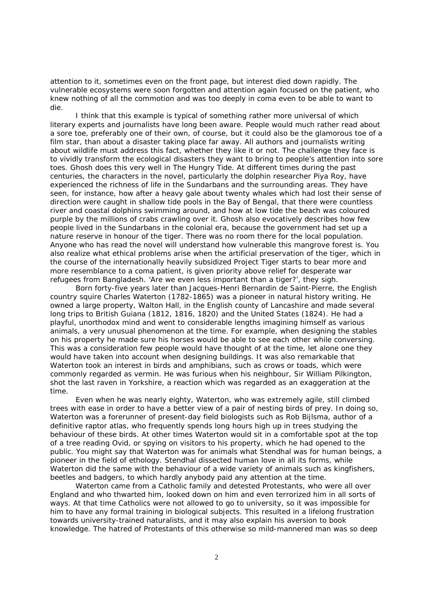attention to it, sometimes even on the front page, but interest died down rapidly. The vulnerable ecosystems were soon forgotten and attention again focused on the patient, who knew nothing of all the commotion and was too deeply in coma even to be able to want to die.

I think that this example is typical of something rather more universal of which literary experts and journalists have long been aware. People would much rather read about a sore toe, preferably one of their own, of course, but it could also be the glamorous toe of a film star, than about a disaster taking place far away. All authors and journalists writing about wildlife must address this fact, whether they like it or not. The challenge they face is to vividly transform the ecological disasters they want to bring to people's attention into sore toes. Ghosh does this very well in *The Hungry Tide*. At different times during the past centuries, the characters in the novel, particularly the dolphin researcher Piya Roy, have experienced the richness of life in the Sundarbans and the surrounding areas. They have seen, for instance, how after a heavy gale about twenty whales which had lost their sense of direction were caught in shallow tide pools in the Bay of Bengal, that there were countless river and coastal dolphins swimming around, and how at low tide the beach was coloured purple by the millions of crabs crawling over it. Ghosh also evocatively describes how few people lived in the Sundarbans in the colonial era, because the government had set up a nature reserve in honour of the tiger. There was no room there for the local population. Anyone who has read the novel will understand how vulnerable this mangrove forest is. You also realize what ethical problems arise when the artificial preservation of the tiger, which in the course of the internationally heavily subsidized *Project Tiger* starts to bear more and more resemblance to a coma patient, is given priority above relief for desperate war refugees from Bangladesh. 'Are we even less important than a tiger?', they sigh.

Born forty-five years later than Jacques-Henri Bernardin de Saint-Pierre, the English country squire Charles Waterton (1782-1865) was a pioneer in natural history writing. He owned a large property, Walton Hall, in the English county of Lancashire and made several long trips to British Guiana (1812, 1816, 1820) and the United States (1824). He had a playful, unorthodox mind and went to considerable lengths imagining himself as various animals, a very unusual phenomenon at the time. For example, when designing the stables on his property he made sure his horses would be able to see each other while conversing. This was a consideration few people would have thought of at the time, let alone one they would have taken into account when designing buildings. It was also remarkable that Waterton took an interest in birds and amphibians, such as crows or toads, which were commonly regarded as vermin. He was furious when his neighbour, Sir William Pilkington, shot the last raven in Yorkshire, a reaction which was regarded as an exaggeration at the time.

Even when he was nearly eighty, Waterton, who was extremely agile, still climbed trees with ease in order to have a better view of a pair of nesting birds of prey. In doing so, Waterton was a forerunner of present-day field biologists such as Rob Bijlsma, author of a definitive raptor atlas, who frequently spends long hours high up in trees studying the behaviour of these birds. At other times Waterton would sit in a comfortable spot at the top of a tree reading Ovid, or spying on visitors to his property, which he had opened to the public. You might say that Waterton was for animals what Stendhal was for human beings, a pioneer in the field of ethology. Stendhal dissected human love in all its forms, while Waterton did the same with the behaviour of a wide variety of animals such as kingfishers, beetles and badgers, to which hardly anybody paid any attention at the time.

Waterton came from a Catholic family and detested Protestants, who were all over England and who thwarted him, looked down on him and even terrorized him in all sorts of ways. At that time Catholics were not allowed to go to university, so it was impossible for him to have any formal training in biological subjects. This resulted in a lifelong frustration towards university-trained naturalists, and it may also explain his aversion to book knowledge. The hatred of Protestants of this otherwise so mild-mannered man was so deep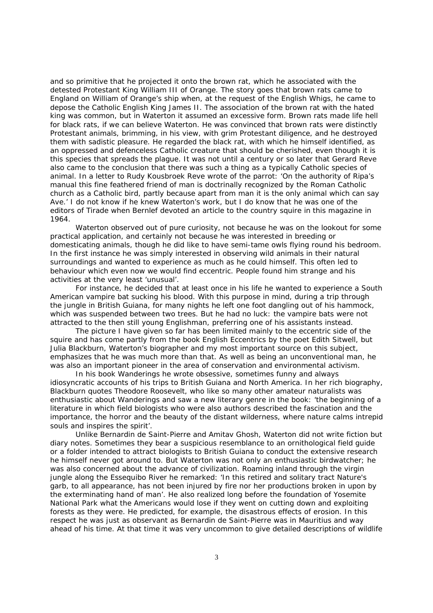and so primitive that he projected it onto the brown rat, which he associated with the detested Protestant King William III of Orange. The story goes that brown rats came to England on William of Orange's ship when, at the request of the English Whigs, he came to depose the Catholic English King James II. The association of the brown rat with the hated king was common, but in Waterton it assumed an excessive form. Brown rats made life hell for black rats, if we can believe Waterton. He was convinced that brown rats were distinctly Protestant animals, brimming, in his view, with grim Protestant diligence, and he destroyed them with sadistic pleasure. He regarded the black rat, with which he himself identified, as an oppressed and defenceless Catholic creature that should be cherished, even though it is this species that spreads the plague. It was not until a century or so later that Gerard Reve also came to the conclusion that there was such a thing as a typically Catholic species of animal. In a letter to Rudy Kousbroek Reve wrote of the parrot: 'On the authority of Ripa's manual this fine feathered friend of man is doctrinally recognized by the Roman Catholic church as a Catholic bird, partly because apart from man it is the only animal which can say Ave.' I do not know if he knew Waterton's work, but I do know that he was one of the editors of *Tirade* when Bernlef devoted an article to the country squire in this magazine in 1964.

Waterton observed out of pure curiosity, not because he was on the lookout for some practical application, and certainly not because he was interested in breeding or domesticating animals, though he did like to have semi-tame owls flying round his bedroom. In the first instance he was simply interested in observing wild animals in their natural surroundings and wanted to experience as much as he could himself. This often led to behaviour which even now we would find eccentric. People found him strange and his activities at the very least 'unusual'.

For instance, he decided that at least once in his life he wanted to experience a South American vampire bat sucking his blood. With this purpose in mind, during a trip through the jungle in British Guiana, for many nights he left one foot dangling out of his hammock, which was suspended between two trees. But he had no luck: the vampire bats were not attracted to the then still young Englishman, preferring one of his assistants instead.

The picture I have given so far has been limited mainly to the eccentric side of the squire and has come partly from the book *English Eccentrics* by the poet Edith Sitwell, but Julia Blackburn, Waterton's biographer and my most important source on this subject, emphasizes that he was much more than that. As well as being an unconventional man, he was also an important pioneer in the area of conservation and environmental activism.

In his book *Wanderings* he wrote obsessive, sometimes funny and always idiosyncratic accounts of his trips to British Guiana and North America. In her rich biography, Blackburn quotes Theodore Roosevelt, who like so many other amateur naturalists was enthusiastic about *Wanderings* and saw a new literary genre in the book: 'the beginning of a literature in which field biologists who were also authors described the fascination and the importance, the horror and the beauty of the distant wilderness, where nature calms intrepid souls and inspires the spirit'.

Unlike Bernardin de Saint-Pierre and Amitav Ghosh, Waterton did not write fiction but diary notes. Sometimes they bear a suspicious resemblance to an ornithological field guide or a folder intended to attract biologists to British Guiana to conduct the extensive research he himself never got around to. But Waterton was not only an enthusiastic birdwatcher; he was also concerned about the advance of civilization. Roaming inland through the virgin jungle along the Essequibo River he remarked: 'In this retired and solitary tract Nature's garb, to all appearance, has not been injured by fire nor her productions broken in upon by the exterminating hand of man'. He also realized long before the foundation of Yosemite National Park what the Americans would lose if they went on cutting down and exploiting forests as they were. He predicted, for example, the disastrous effects of erosion. In this respect he was just as observant as Bernardin de Saint-Pierre was in Mauritius and way ahead of his time. At that time it was very uncommon to give detailed descriptions of wildlife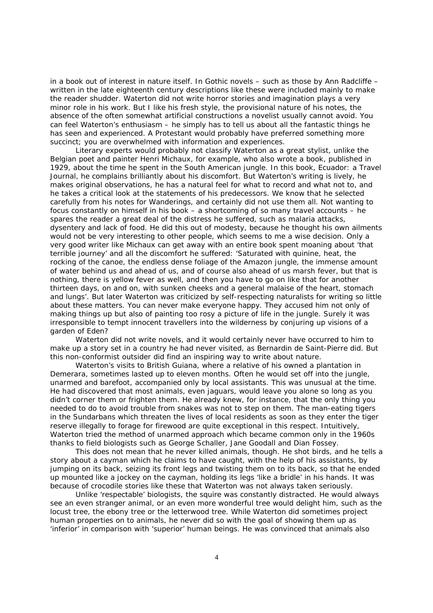in a book out of interest in nature itself. In Gothic novels – such as those by Ann Radcliffe – written in the late eighteenth century descriptions like these were included mainly to make the reader shudder. Waterton did not write horror stories and imagination plays a very minor role in his work. But I like his fresh style, the provisional nature of his notes, the absence of the often somewhat artificial constructions a novelist usually cannot avoid. You can feel Waterton's enthusiasm – he simply *has* to tell us about all the fantastic things he has seen and experienced. A Protestant would probably have preferred something more succinct; you are overwhelmed with information and experiences.

Literary experts would probably not classify Waterton as a great stylist, unlike the Belgian poet and painter Henri Michaux, for example, who also wrote a book, published in 1929, about the time he spent in the South American jungle. In this book, *Ecuador: a Travel Journal*, he complains brilliantly about his discomfort. But Waterton's writing is lively, he makes original observations, he has a natural feel for what to record and what not to, and he takes a critical look at the statements of his predecessors. We know that he selected carefully from his notes for *Wanderings*, and certainly did not use them all*.* Not wanting to focus constantly on himself in his book – a shortcoming of so many travel accounts – he spares the reader a great deal of the distress he suffered, such as malaria attacks, dysentery and lack of food. He did this out of modesty, because he thought his own ailments would not be very interesting to other people, which seems to me a wise decision. Only a very good writer like Michaux can get away with an entire book spent moaning about 'that terrible journey' and all the discomfort he suffered: 'Saturated with quinine, heat, the rocking of the canoe, the endless dense foliage of the Amazon jungle, the immense amount of water behind us and ahead of us, and of course also ahead of us marsh fever, but that is nothing, there is yellow fever as well, and then you have to go on like that for another thirteen days, on and on, with sunken cheeks and a general malaise of the heart, stomach and lungs'. But later Waterton was criticized by self-respecting naturalists for writing so little about these matters. You can never make everyone happy. They accused him not only of making things up but also of painting too rosy a picture of life in the jungle. Surely it was irresponsible to tempt innocent travellers into the wilderness by conjuring up visions of a garden of Eden?

Waterton did not write novels, and it would certainly never have occurred to him to make up a story set in a country he had never visited, as Bernardin de Saint-Pierre did. But this non-conformist outsider did find an inspiring way to write about nature.

Waterton's visits to British Guiana, where a relative of his owned a plantation in Demerara, sometimes lasted up to eleven months. Often he would set off into the jungle, unarmed and barefoot, accompanied only by local assistants. This was unusual at the time. He had discovered that most animals, even jaguars, would leave you alone so long as you didn't corner them or frighten them. He already knew, for instance, that the only thing you needed to do to avoid trouble from snakes was not to step on them. The man-eating tigers in the Sundarbans which threaten the lives of local residents as soon as they enter the tiger reserve illegally to forage for firewood are quite exceptional in this respect. Intuitively, Waterton tried the method of unarmed approach which became common only in the 1960s thanks to field biologists such as George Schaller, Jane Goodall and Dian Fossey.

This does not mean that he never killed animals, though. He shot birds, and he tells a story about a cayman which he claims to have caught, with the help of his assistants, by jumping on its back, seizing its front legs and twisting them on to its back, so that he ended up mounted like a jockey on the cayman, holding its legs 'like a bridle' in his hands. It was because of crocodile stories like these that Waterton was not always taken seriously.

Unlike 'respectable' biologists, the squire was constantly distracted. He would always see an even stranger animal, or an even more wonderful tree would delight him, such as the locust tree, the ebony tree or the letterwood tree. While Waterton did sometimes project human properties on to animals, he never did so with the goal of showing them up as 'inferior' in comparison with 'superior' human beings. He was convinced that animals also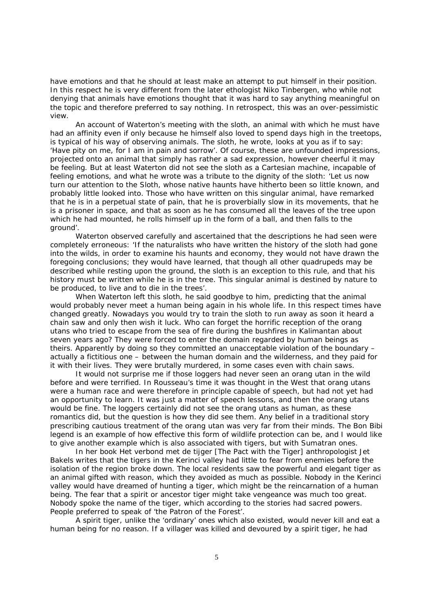have emotions and that he should at least make an attempt to put himself in their position. In this respect he is very different from the later ethologist Niko Tinbergen, who while not denying that animals have emotions thought that it was hard to say anything meaningful on the topic and therefore preferred to say nothing. In retrospect, this was an over-pessimistic view.

An account of Waterton's meeting with the sloth, an animal with which he must have had an affinity even if only because he himself also loved to spend days high in the treetops, is typical of his way of observing animals. The sloth, he wrote, looks at you as if to say: 'Have pity on me, for I am in pain and sorrow'. Of course, these are unfounded impressions, projected onto an animal that simply has rather a sad expression, however cheerful it may be feeling. But at least Waterton did not see the sloth as a Cartesian machine, incapable of feeling emotions, and what he wrote was a tribute to the dignity of the sloth: 'Let us now turn our attention to the Sloth, whose native haunts have hitherto been so little known, and probably little looked into. Those who have written on this singular animal, have remarked that he is in a perpetual state of pain, that he is proverbially slow in its movements, that he is a prisoner in space, and that as soon as he has consumed all the leaves of the tree upon which he had mounted, he rolls himself up in the form of a ball, and then falls to the ground'.

Waterton observed carefully and ascertained that the descriptions he had seen were completely erroneous: 'If the naturalists who have written the history of the sloth had gone into the wilds, in order to examine his haunts and economy, they would not have drawn the foregoing conclusions; they would have learned, that though all other quadrupeds may be described while resting upon the ground, the sloth is an exception to this rule, and that his history must be written while he is in the tree. This singular animal is destined by nature to be produced, to live and to die in the trees'.

When Waterton left this sloth, he said goodbye to him, predicting that the animal would probably never meet a human being again in his whole life. In this respect times have changed greatly. Nowadays you would try to train the sloth to run away as soon it heard a chain saw and only then wish it luck. Who can forget the horrific reception of the orang utans who tried to escape from the sea of fire during the bushfires in Kalimantan about seven years ago? They were forced to enter the domain regarded by human beings as theirs. Apparently by doing so they committed an unacceptable violation of the boundary – actually a fictitious one – between the human domain and the wilderness, and they paid for it with their lives. They were brutally murdered, in some cases even with chain saws.

It would not surprise me if those loggers had never seen an orang utan in the wild before and were terrified. In Rousseau's time it was thought in the West that orang utans were a human race and were therefore in principle capable of speech, but had not yet had an opportunity to learn. It was just a matter of speech lessons, and then the orang utans would be fine. The loggers certainly did not see the orang utans as human, as these romantics did, but the question is how they did see them. Any belief in a traditional story prescribing cautious treatment of the orang utan was very far from their minds. The Bon Bibi legend is an example of how effective this form of wildlife protection can be, and I would like to give another example which is also associated with tigers, but with Sumatran ones.

In her book *Het verbond met de tijger* [The Pact with the Tiger] anthropologist Jet Bakels writes that the tigers in the Kerinci valley had little to fear from enemies before the isolation of the region broke down. The local residents saw the powerful and elegant tiger as an animal gifted with reason, which they avoided as much as possible. Nobody in the Kerinci valley would have dreamed of hunting a tiger, which might be the reincarnation of a human being. The fear that a spirit or ancestor tiger might take vengeance was much too great. Nobody spoke the name of the tiger, which according to the stories had sacred powers. People preferred to speak of 'the Patron of the Forest'.

A spirit tiger, unlike the 'ordinary' ones which also existed, would never kill and eat a human being for no reason. If a villager was killed and devoured by a spirit tiger, he had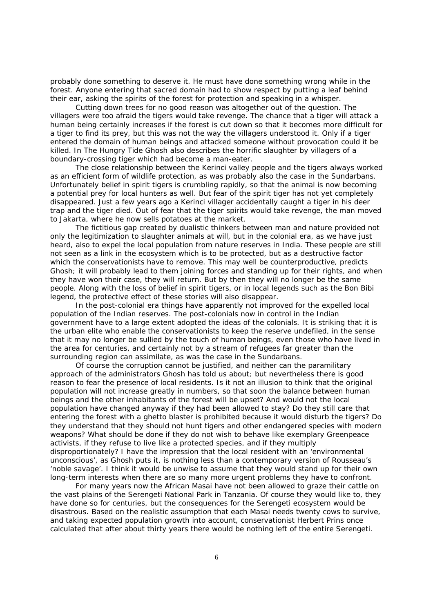probably done something to deserve it. He must have done something wrong while in the forest. Anyone entering that sacred domain had to show respect by putting a leaf behind their ear, asking the spirits of the forest for protection and speaking in a whisper.

Cutting down trees for no good reason was altogether out of the question. The villagers were too afraid the tigers would take revenge. The chance that a tiger will attack a human being certainly increases if the forest is cut down so that it becomes more difficult for a tiger to find its prey, but this was not the way the villagers understood it. Only if a tiger entered the domain of human beings and attacked someone without provocation could it be killed. In *The Hungry Tide* Ghosh also describes the horrific slaughter by villagers of a boundary-crossing tiger which had become a man-eater.

The close relationship between the Kerinci valley people and the tigers always worked as an efficient form of wildlife protection, as was probably also the case in the Sundarbans. Unfortunately belief in spirit tigers is crumbling rapidly, so that the animal is now becoming a potential prey for local hunters as well. But fear of the spirit tiger has not yet completely disappeared. Just a few years ago a Kerinci villager accidentally caught a tiger in his deer trap and the tiger died. Out of fear that the tiger spirits would take revenge, the man moved to Jakarta, where he now sells potatoes at the market.

The fictitious gap created by dualistic thinkers between man and nature provided not only the legitimization to slaughter animals at will, but in the colonial era, as we have just heard, also to expel the local population from nature reserves in India. These people are still not seen as a link in the ecosystem which is to be protected, but as a destructive factor which the conservationists have to remove. This may well be counterproductive, predicts Ghosh; it will probably lead to them joining forces and standing up for their rights, and when they have won their case, they will return. But by then they will no longer be the same people. Along with the loss of belief in spirit tigers, or in local legends such as the Bon Bibi legend, the protective effect of these stories will also disappear.

In the post-colonial era things have apparently not improved for the expelled local population of the Indian reserves. The post-colonials now in control in the Indian government have to a large extent adopted the ideas of the colonials. It is striking that it is the urban elite who enable the conservationists to keep the reserve undefiled, in the sense that it may no longer be sullied by the touch of human beings, even those who have lived in the area for centuries, and certainly not by a stream of refugees far greater than the surrounding region can assimilate, as was the case in the Sundarbans.

Of course the corruption cannot be justified, and neither can the paramilitary approach of the administrators Ghosh has told us about; but nevertheless there is good reason to fear the presence of local residents. Is it not an illusion to think that the original population will not increase greatly in numbers, so that soon the balance between human beings and the other inhabitants of the forest will be upset? And would not the local population have changed anyway if they had been allowed to stay? Do they still care that entering the forest with a ghetto blaster is prohibited because it would disturb the tigers? Do they understand that they should not hunt tigers and other endangered species with modern weapons? What should be done if they do not wish to behave like exemplary Greenpeace activists, if they refuse to live like a protected species, and if they multiply disproportionately? I have the impression that the local resident with an 'environmental unconscious', as Ghosh puts it, is nothing less than a contemporary version of Rousseau's 'noble savage'. I think it would be unwise to assume that they would stand up for their own long-term interests when there are so many more urgent problems they have to confront.

For many years now the African Masai have not been allowed to graze their cattle on the vast plains of the Serengeti National Park in Tanzania. Of course they would like to, they have done so for centuries, but the consequences for the Serengeti ecosystem would be disastrous. Based on the realistic assumption that each Masai needs twenty cows to survive, and taking expected population growth into account, conservationist Herbert Prins once calculated that after about thirty years there would be nothing left of the entire Serengeti.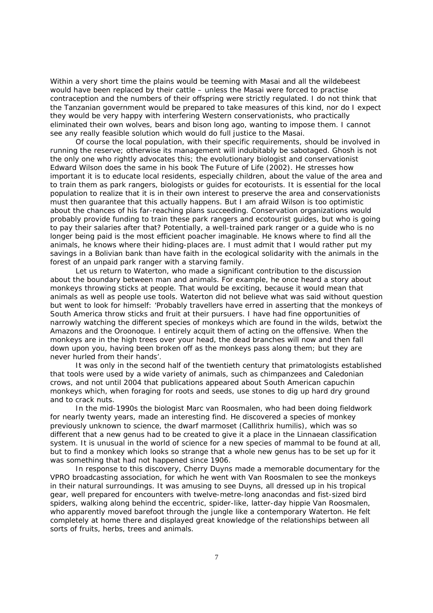Within a very short time the plains would be teeming with Masai and all the wildebeest would have been replaced by their cattle – unless the Masai were forced to practise contraception and the numbers of their offspring were strictly regulated. I do not think that the Tanzanian government would be prepared to take measures of this kind, nor do I expect they would be very happy with interfering Western conservationists, who practically eliminated their own wolves, bears and bison long ago, wanting to impose them. I cannot see any really feasible solution which would do full justice to the Masai.

Of course the local population, with their specific requirements, should be involved in running the reserve; otherwise its management will indubitably be sabotaged. Ghosh is not the only one who rightly advocates this; the evolutionary biologist and conservationist Edward Wilson does the same in his book *The Future of Life* (2002). He stresses how important it is to educate local residents, especially children, about the value of the area and to train them as park rangers, biologists or guides for ecotourists. It is essential for the local population to realize that it is in their own interest to preserve the area and conservationists must then guarantee that this actually happens. But I am afraid Wilson is too optimistic about the chances of his far-reaching plans succeeding. Conservation organizations would probably provide funding to train these park rangers and ecotourist guides, but who is going to pay their salaries after that? Potentially, a well-trained park ranger or a guide who is no longer being paid is the most efficient poacher imaginable. He knows where to find all the animals, he knows where their hiding-places are. I must admit that I would rather put my savings in a Bolivian bank than have faith in the ecological solidarity with the animals in the forest of an unpaid park ranger with a starving family.

Let us return to Waterton, who made a significant contribution to the discussion about the boundary between man and animals. For example, he once heard a story about monkeys throwing sticks at people. That would be exciting, because it would mean that animals as well as people use tools. Waterton did not believe what was said without question but went to look for himself: 'Probably travellers have erred in asserting that the monkeys of South America throw sticks and fruit at their pursuers. I have had fine opportunities of narrowly watching the different species of monkeys which are found in the wilds, betwixt the Amazons and the Oroonoque. I entirely acquit them of acting on the offensive. When the monkeys are in the high trees over your head, the dead branches will now and then fall down upon you, having been broken off as the monkeys pass along them; but they are never hurled from their hands'.

It was only in the second half of the twentieth century that primatologists established that tools were used by a wide variety of animals, such as chimpanzees and Caledonian crows, and not until 2004 that publications appeared about South American capuchin monkeys which, when foraging for roots and seeds, use stones to dig up hard dry ground and to crack nuts.

In the mid-1990s the biologist Marc van Roosmalen, who had been doing fieldwork for nearly twenty years, made an interesting find. He discovered a species of monkey previously unknown to science, the dwarf marmoset (*Callithrix humilis*), which was so different that a new genus had to be created to give it a place in the Linnaean classification system. It is unusual in the world of science for a new species of mammal to be found at all, but to find a monkey which looks so strange that a whole new genus has to be set up for it was something that had not happened since 1906.

In response to this discovery, Cherry Duyns made a memorable documentary for the VPRO broadcasting association, for which he went with Van Roosmalen to see the monkeys in their natural surroundings. It was amusing to see Duyns, all dressed up in his tropical gear, well prepared for encounters with twelve-metre-long anacondas and fist-sized bird spiders, walking along behind the eccentric, spider-like, latter-day hippie Van Roosmalen, who apparently moved barefoot through the jungle like a contemporary Waterton. He felt completely at home there and displayed great knowledge of the relationships between all sorts of fruits, herbs, trees and animals.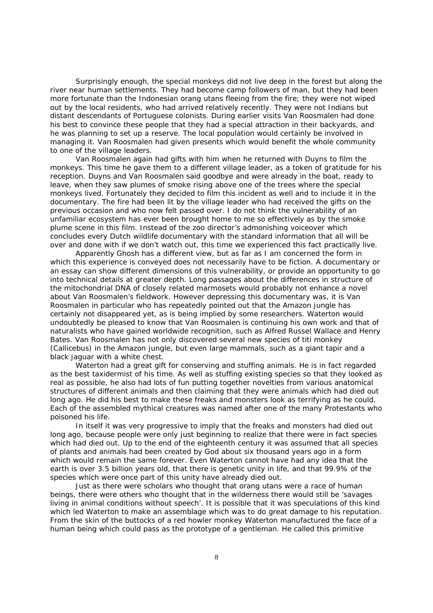Surprisingly enough, the special monkeys did not live deep in the forest but along the river near human settlements. They had become camp followers of man, but they had been more fortunate than the Indonesian orang utans fleeing from the fire; they were not wiped out by the local residents, who had arrived relatively recently. They were not Indians but distant descendants of Portuguese colonists. During earlier visits Van Roosmalen had done his best to convince these people that they had a special attraction in their backyards, and he was planning to set up a reserve. The local population would certainly be involved in managing it. Van Roosmalen had given presents which would benefit the whole community to one of the village leaders.

Van Roosmalen again had gifts with him when he returned with Duyns to film the monkeys. This time he gave them to a different village leader, as a token of gratitude for his reception. Duyns and Van Roosmalen said goodbye and were already in the boat, ready to leave, when they saw plumes of smoke rising above one of the trees where the special monkeys lived. Fortunately they decided to film this incident as well and to include it in the documentary. The fire had been lit by the village leader who had received the gifts on the previous occasion and who now felt passed over. I do not think the vulnerability of an unfamiliar ecosystem has ever been brought home to me so effectively as by the smoke plume scene in this film. Instead of the zoo director's admonishing voiceover which concludes every Dutch wildlife documentary with the standard information that all will be over and done with if we don't watch out, this time we experienced this fact practically live.

Apparently Ghosh has a different view, but as far as I am concerned the form in which this experience is conveyed does not necessarily have to be fiction. A documentary or an essay can show different dimensions of this vulnerability, or provide an opportunity to go into technical details at greater depth. Long passages about the differences in structure of the mitochondrial DNA of closely related marmosets would probably not enhance a novel about Van Roosmalen's fieldwork. However depressing this documentary was, it is Van Roosmalen in particular who has repeatedly pointed out that the Amazon jungle has certainly not disappeared yet, as is being implied by some researchers. Waterton would undoubtedly be pleased to know that Van Roosmalen is continuing his own work and that of naturalists who have gained worldwide recognition, such as Alfred Russel Wallace and Henry Bates. Van Roosmalen has not only discovered several new species of titi monkey (Callicebus) in the Amazon jungle, but even large mammals, such as a giant tapir and a black jaguar with a white chest.

Waterton had a great gift for conserving and stuffing animals. He is in fact regarded as the best taxidermist of his time. As well as stuffing existing species so that they looked as real as possible, he also had lots of fun putting together novelties from various anatomical structures of different animals and then claiming that they were animals which had died out long ago. He did his best to make these freaks and monsters look as terrifying as he could. Each of the assembled mythical creatures was named after one of the many Protestants who poisoned his life.

In itself it was very progressive to imply that the freaks and monsters had died out long ago, because people were only just beginning to realize that there were in fact species which had died out. Up to the end of the eighteenth century it was assumed that all species of plants and animals had been created by God about six thousand years ago in a form which would remain the same forever. Even Waterton cannot have had any idea that the earth is over 3.5 billion years old, that there is genetic unity in life, and that 99.9% of the species which were once part of this unity have already died out.

Just as there were scholars who thought that orang utans were a race of human beings, there were others who thought that in the wilderness there would still be 'savages living in animal conditions without speech'. It is possible that it was speculations of this kind which led Waterton to make an assemblage which was to do great damage to his reputation. From the skin of the buttocks of a red howler monkey Waterton manufactured the face of a human being which could pass as the prototype of a gentleman. He called this primitive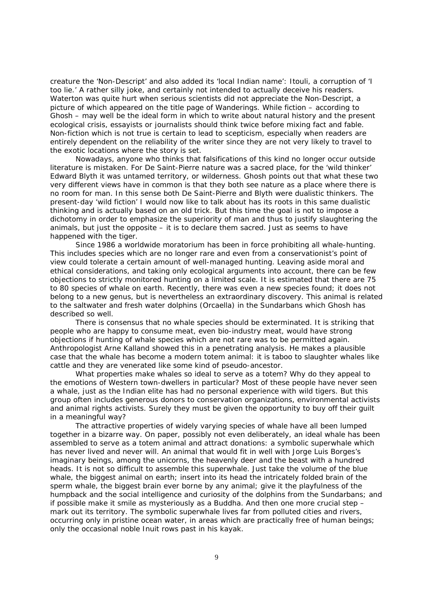creature the 'Non-Descript' and also added its 'local Indian name': Itouli, a corruption of 'I too lie.' A rather silly joke, and certainly not intended to actually deceive his readers. Waterton was quite hurt when serious scientists did not appreciate the Non-Descript, a picture of which appeared on the title page of *Wanderings*. While fiction – according to Ghosh – may well be the ideal form in which to write about natural history and the present ecological crisis, essayists or journalists should think twice before mixing fact and fable. Non-fiction which is not true is certain to lead to scepticism, especially when readers are entirely dependent on the reliability of the writer since they are not very likely to travel to the exotic locations where the story is set.

Nowadays, anyone who thinks that falsifications of this kind no longer occur outside literature is mistaken. For De Saint-Pierre nature was a sacred place, for the 'wild thinker' Edward Blyth it was untamed territory, or wilderness. Ghosh points out that what these two very different views have in common is that they both see nature as a place where there is no room for man. In this sense both De Saint-Pierre and Blyth were dualistic thinkers. The present-day 'wild fiction' I would now like to talk about has its roots in this same dualistic thinking and is actually based on an old trick. But this time the goal is not to impose a dichotomy in order to emphasize the superiority of man and thus to justify slaughtering the animals, but just the opposite – it is to declare them sacred. Just as seems to have happened with the tiger.

Since 1986 a worldwide moratorium has been in force prohibiting all whale-hunting. This includes species which are no longer rare and even from a conservationist's point of view could tolerate a certain amount of well-managed hunting. Leaving aside moral and ethical considerations, and taking only ecological arguments into account, there can be few objections to strictly monitored hunting on a limited scale. It is estimated that there are 75 to 80 species of whale on earth. Recently, there was even a new species found; it does not belong to a new genus, but is nevertheless an extraordinary discovery. This animal is related to the saltwater and fresh water dolphins (*Orcaella*) in the Sundarbans which Ghosh has described so well.

There is consensus that no whale species should be exterminated. It is striking that people who are happy to consume meat, even bio-industry meat, would have strong objections if hunting of whale species which are not rare was to be permitted again. Anthropologist Arne Kalland showed this in a penetrating analysis. He makes a plausible case that the whale has become a modern totem animal: it is taboo to slaughter whales like cattle and they are venerated like some kind of pseudo-ancestor.

What properties make whales so ideal to serve as a totem? Why do they appeal to the emotions of Western town-dwellers in particular? Most of these people have never seen a whale, just as the Indian elite has had no personal experience with wild tigers. But this group often includes generous donors to conservation organizations, environmental activists and animal rights activists. Surely they must be given the opportunity to buy off their guilt in a meaningful way?

The attractive properties of widely varying species of whale have all been lumped together in a bizarre way. On paper, possibly not even deliberately, an ideal whale has been assembled to serve as a totem animal and attract donations: a symbolic superwhale which has never lived and never will. An animal that would fit in well with Jorge Luis Borges's imaginary beings, among the unicorns, the heavenly deer and the beast with a hundred heads. It is not so difficult to assemble this superwhale. Just take the volume of the blue whale, the biggest animal on earth; insert into its head the intricately folded brain of the sperm whale, the biggest brain ever borne by any animal; give it the playfulness of the humpback and the social intelligence and curiosity of the dolphins from the Sundarbans; and if possible make it smile as mysteriously as a Buddha. And then one more crucial step – mark out its territory. The symbolic superwhale lives far from polluted cities and rivers, occurring only in pristine ocean water, in areas which are practically free of human beings; only the occasional noble Inuit rows past in his kayak.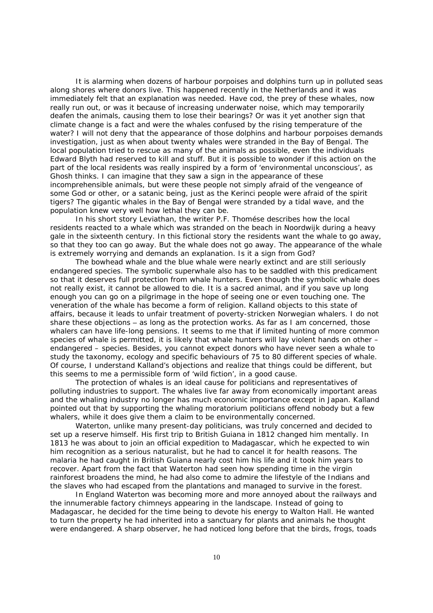It is alarming when dozens of harbour porpoises and dolphins turn up in polluted seas along shores where donors live. This happened recently in the Netherlands and it was immediately felt that an explanation was needed. Have cod, the prey of these whales, now really run out, or was it because of increasing underwater noise, which may temporarily deafen the animals, causing them to lose their bearings? Or was it yet another sign that climate change is a fact and were the whales confused by the rising temperature of the water? I will not deny that the appearance of those dolphins and harbour porpoises demands investigation, just as when about twenty whales were stranded in the Bay of Bengal. The local population tried to rescue as many of the animals as possible, even the individuals Edward Blyth had reserved to kill and stuff. But it is possible to wonder if this action on the part of the local residents was really inspired by a form of 'environmental unconscious', as Ghosh thinks. I can imagine that they saw a sign in the appearance of these incomprehensible animals, but were these people not simply afraid of the vengeance of some God or other, or a satanic being, just as the Kerinci people were afraid of the spirit tigers? The gigantic whales in the Bay of Bengal were stranded by a tidal wave, and the population knew very well how lethal they can be.

In his short story *Leviathan,* the writer P.F. Thomése describes how the local residents reacted to a whale which was stranded on the beach in Noordwijk during a heavy gale in the sixteenth century. In this fictional story the residents want the whale to go away, so that they too can go away. But the whale does not go away. The appearance of the whale is extremely worrying and demands an explanation. Is it a sign from God?

The bowhead whale and the blue whale were nearly extinct and are still seriously endangered species. The symbolic superwhale also has to be saddled with this predicament so that it deserves full protection from whale hunters. Even though the symbolic whale does not really exist, it cannot be allowed to die. It is a sacred animal, and if you save up long enough you can go on a pilgrimage in the hope of seeing one or even touching one. The veneration of the whale has become a form of religion. Kalland objects to this state of affairs, because it leads to unfair treatment of poverty-stricken Norwegian whalers. I do not share these objections – as long as the protection works. As far as I am concerned, those whalers can have life-long pensions. It seems to me that if limited hunting of more common species of whale is permitted, it is likely that whale hunters will lay violent hands on other – endangered – species. Besides, you cannot expect donors who have never seen a whale to study the taxonomy, ecology and specific behaviours of 75 to 80 different species of whale. Of course, I understand Kalland's objections and realize that things could be different, but this seems to me a permissible form of 'wild fiction', in a good cause.

The protection of whales is an ideal cause for politicians and representatives of polluting industries to support. The whales live far away from economically important areas and the whaling industry no longer has much economic importance except in Japan. Kalland pointed out that by supporting the whaling moratorium politicians offend nobody but a few whalers, while it does give them a claim to be environmentally concerned.

Waterton, unlike many present-day politicians, was truly concerned and decided to set up a reserve himself. His first trip to British Guiana in 1812 changed him mentally. In 1813 he was about to join an official expedition to Madagascar, which he expected to win him recognition as a serious naturalist, but he had to cancel it for health reasons. The malaria he had caught in British Guiana nearly cost him his life and it took him years to recover. Apart from the fact that Waterton had seen how spending time in the virgin rainforest broadens the mind, he had also come to admire the lifestyle of the Indians and the slaves who had escaped from the plantations and managed to survive in the forest.

In England Waterton was becoming more and more annoyed about the railways and the innumerable factory chimneys appearing in the landscape. Instead of going to Madagascar, he decided for the time being to devote his energy to Walton Hall. He wanted to turn the property he had inherited into a sanctuary for plants and animals he thought were endangered. A sharp observer, he had noticed long before that the birds, frogs, toads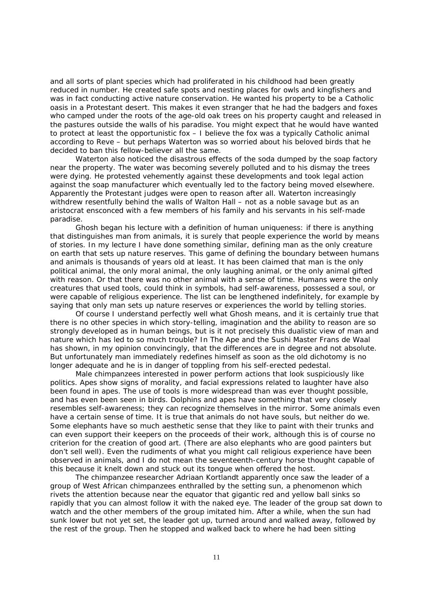and all sorts of plant species which had proliferated in his childhood had been greatly reduced in number. He created safe spots and nesting places for owls and kingfishers and was in fact conducting active nature conservation. He wanted his property to be a Catholic oasis in a Protestant desert. This makes it even stranger that he had the badgers and foxes who camped under the roots of the age-old oak trees on his property caught and released in the pastures outside the walls of his paradise. You might expect that he would have wanted to protect at least the opportunistic fox – I believe the fox was a typically Catholic animal according to Reve – but perhaps Waterton was so worried about his beloved birds that he decided to ban this fellow-believer all the same.

Waterton also noticed the disastrous effects of the soda dumped by the soap factory near the property. The water was becoming severely polluted and to his dismay the trees were dying. He protested vehemently against these developments and took legal action against the soap manufacturer which eventually led to the factory being moved elsewhere. Apparently the Protestant judges were open to reason after all. Waterton increasingly withdrew resentfully behind the walls of Walton Hall – not as a noble savage but as an aristocrat ensconced with a few members of his family and his servants in his self-made paradise.

Ghosh began his lecture with a definition of human uniqueness: if there is anything that distinguishes man from animals, it is surely that people experience the world by means of stories. In my lecture I have done something similar, defining man as the only creature on earth that sets up nature reserves. This game of defining the boundary between humans and animals is thousands of years old at least. It has been claimed that man is the only political animal, the only moral animal, the only laughing animal, or the only animal gifted with reason. Or that there was no other animal with a sense of time. Humans were the only creatures that used tools, could think in symbols, had self-awareness, possessed a soul, or were capable of religious experience. The list can be lengthened indefinitely, for example by saying that only man sets up nature reserves or experiences the world by telling stories.

Of course I understand perfectly well what Ghosh means, and it is certainly true that there is no other species in which story-telling, imagination and the ability to reason are so strongly developed as in human beings, but is it not precisely this dualistic view of man and nature which has led to so much trouble? In *The Ape and the Sushi Master* Frans de Waal has shown, in my opinion convincingly, that the differences are in degree and not absolute. But unfortunately man immediately redefines himself as soon as the old dichotomy is no longer adequate and he is in danger of toppling from his self-erected pedestal.

Male chimpanzees interested in power perform actions that look suspiciously like politics. Apes show signs of morality, and facial expressions related to laughter have also been found in apes. The use of tools is more widespread than was ever thought possible, and has even been seen in birds. Dolphins and apes have something that very closely resembles self-awareness; they can recognize themselves in the mirror. Some animals even have a certain sense of time. It is true that animals do not have souls, but neither do we. Some elephants have so much aesthetic sense that they like to paint with their trunks and can even support their keepers on the proceeds of their work, although this is of course no criterion for the creation of good art. (There are also elephants who are good painters but don't sell well). Even the rudiments of what you might call religious experience have been observed in animals, and I do not mean the seventeenth-century horse thought capable of this because it knelt down and stuck out its tongue when offered the host.

The chimpanzee researcher Adriaan Kortlandt apparently once saw the leader of a group of West African chimpanzees enthralled by the setting sun, a phenomenon which rivets the attention because near the equator that gigantic red and yellow ball sinks so rapidly that you can almost follow it with the naked eye. The leader of the group sat down to watch and the other members of the group imitated him. After a while, when the sun had sunk lower but not yet set, the leader got up, turned around and walked away, followed by the rest of the group. Then he stopped and walked back to where he had been sitting